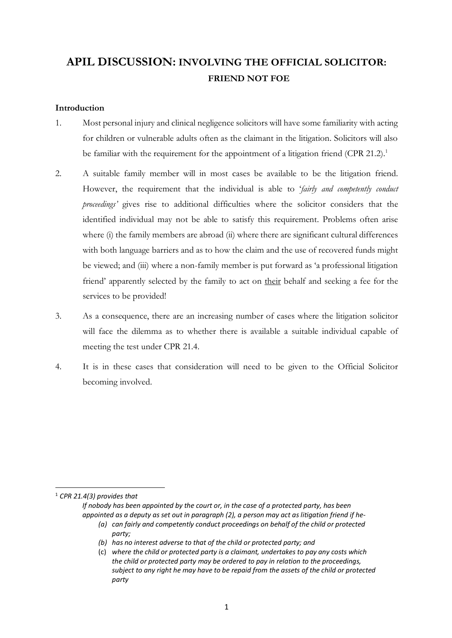# **APIL DISCUSSION: INVOLVING THE OFFICIAL SOLICITOR: FRIEND NOT FOE**

# **Introduction**

- 1. Most personal injury and clinical negligence solicitors will have some familiarity with acting for children or vulnerable adults often as the claimant in the litigation. Solicitors will also be familiar with the requirement for the appointment of a litigation friend  $(CPR 21.2)^1$ .
- 2. A suitable family member will in most cases be available to be the litigation friend. However, the requirement that the individual is able to '*fairly and competently conduct proceedings'* gives rise to additional difficulties where the solicitor considers that the identified individual may not be able to satisfy this requirement. Problems often arise where (i) the family members are abroad (ii) where there are significant cultural differences with both language barriers and as to how the claim and the use of recovered funds might be viewed; and (iii) where a non-family member is put forward as 'a professional litigation friend' apparently selected by the family to act on their behalf and seeking a fee for the services to be provided!
- 3. As a consequence, there are an increasing number of cases where the litigation solicitor will face the dilemma as to whether there is available a suitable individual capable of meeting the test under CPR 21.4.
- 4. It is in these cases that consideration will need to be given to the Official Solicitor becoming involved.

1 *CPR 21.4(3) provides that* 

*If nobody has been appointed by the court or, in the case of a protected party, has been appointed as a deputy as set out in paragraph (2), a person may act as litigation friend if he-*

*(a) can fairly and competently conduct proceedings on behalf of the child or protected party;*

*(b) has no interest adverse to that of the child or protected party; and*

(c) *where the child or protected party is a claimant, undertakes to pay any costs which the child or protected party may be ordered to pay in relation to the proceedings, subject to any right he may have to be repaid from the assets of the child or protected party*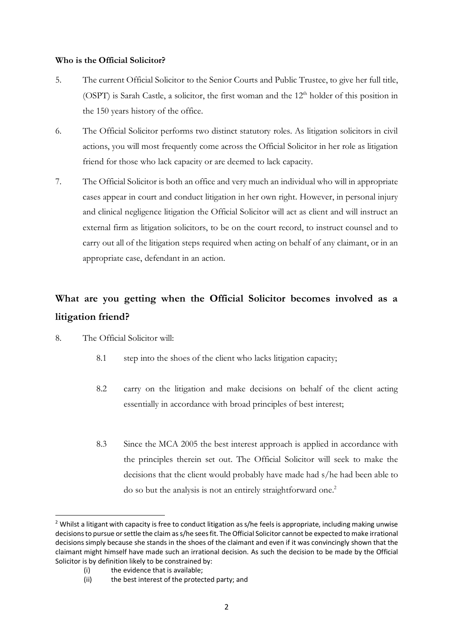### **Who is the Official Solicitor?**

- 5. The current Official Solicitor to the Senior Courts and Public Trustee, to give her full title, (OSPT) is Sarah Castle, a solicitor, the first woman and the  $12<sup>th</sup>$  holder of this position in the 150 years history of the office.
- 6. The Official Solicitor performs two distinct statutory roles. As litigation solicitors in civil actions, you will most frequently come across the Official Solicitor in her role as litigation friend for those who lack capacity or are deemed to lack capacity.
- 7. The Official Solicitor is both an office and very much an individual who will in appropriate cases appear in court and conduct litigation in her own right. However, in personal injury and clinical negligence litigation the Official Solicitor will act as client and will instruct an external firm as litigation solicitors, to be on the court record, to instruct counsel and to carry out all of the litigation steps required when acting on behalf of any claimant, or in an appropriate case, defendant in an action.

# **What are you getting when the Official Solicitor becomes involved as a litigation friend?**

- 8. The Official Solicitor will:
	- 8.1 step into the shoes of the client who lacks litigation capacity;
	- 8.2 carry on the litigation and make decisions on behalf of the client acting essentially in accordance with broad principles of best interest;
	- 8.3 Since the MCA 2005 the best interest approach is applied in accordance with the principles therein set out. The Official Solicitor will seek to make the decisions that the client would probably have made had s/he had been able to do so but the analysis is not an entirely straightforward one.<sup>2</sup>

(i) the evidence that is available;

 $2$  Whilst a litigant with capacity is free to conduct litigation as s/he feels is appropriate, including making unwise decisions to pursue or settle the claim as s/he sees fit. The Official Solicitor cannot be expected to make irrational decisions simply because she stands in the shoes of the claimant and even if it was convincingly shown that the claimant might himself have made such an irrational decision. As such the decision to be made by the Official Solicitor is by definition likely to be constrained by:

<sup>(</sup>ii) the best interest of the protected party; and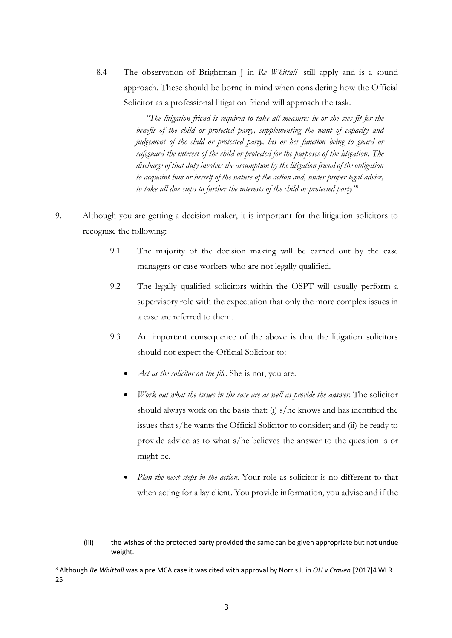8.4 The observation of Brightman J in *Re Whittall* still apply and is a sound approach. These should be borne in mind when considering how the Official Solicitor as a professional litigation friend will approach the task.

> *"The litigation friend is required to take all measures he or she sees fit for the benefit of the child or protected party, supplementing the want of capacity and judgement of the child or protected party, his or her function being to guard or safeguard the interest of the child or protected for the purposes of the litigation. The discharge of that duty involves the assumption by the litigation friend of the obligation to acquaint him or herself of the nature of the action and, under proper legal advice, to take all due steps to further the interests of the child or protected party"3*

- 9. Although you are getting a decision maker, it is important for the litigation solicitors to recognise the following:
	- 9.1 The majority of the decision making will be carried out by the case managers or case workers who are not legally qualified.
	- 9.2 The legally qualified solicitors within the OSPT will usually perform a supervisory role with the expectation that only the more complex issues in a case are referred to them.
	- 9.3 An important consequence of the above is that the litigation solicitors should not expect the Official Solicitor to:
		- *Act as the solicitor on the file*. She is not, you are.
		- *Work out what the issues in the case are as well as provide the answer*. The solicitor should always work on the basis that: (i) s/he knows and has identified the issues that s/he wants the Official Solicitor to consider; and (ii) be ready to provide advice as to what s/he believes the answer to the question is or might be.
		- *Plan the next steps in the action.* Your role as solicitor is no different to that when acting for a lay client. You provide information, you advise and if the

 $\overline{a}$ 

<sup>(</sup>iii) the wishes of the protected party provided the same can be given appropriate but not undue weight.

<sup>3</sup> Although *Re Whittall* was a pre MCA case it was cited with approval by Norris J. in *OH v Craven* [2017]4 WLR 25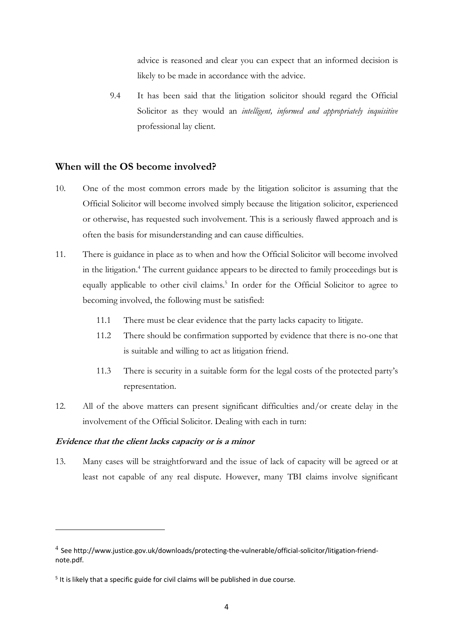advice is reasoned and clear you can expect that an informed decision is likely to be made in accordance with the advice.

9.4 It has been said that the litigation solicitor should regard the Official Solicitor as they would an *intelligent, informed and appropriately inquisitive* professional lay client.

# **When will the OS become involved?**

- 10. One of the most common errors made by the litigation solicitor is assuming that the Official Solicitor will become involved simply because the litigation solicitor, experienced or otherwise, has requested such involvement. This is a seriously flawed approach and is often the basis for misunderstanding and can cause difficulties.
- 11. There is guidance in place as to when and how the Official Solicitor will become involved in the litigation.4 The current guidance appears to be directed to family proceedings but is equally applicable to other civil claims.<sup>5</sup> In order for the Official Solicitor to agree to becoming involved, the following must be satisfied:
	- 11.1 There must be clear evidence that the party lacks capacity to litigate.
	- 11.2 There should be confirmation supported by evidence that there is no-one that is suitable and willing to act as litigation friend.
	- 11.3 There is security in a suitable form for the legal costs of the protected party's representation.
- 12. All of the above matters can present significant difficulties and/or create delay in the involvement of the Official Solicitor. Dealing with each in turn:

#### **Evidence that the client lacks capacity or is a minor**

 $\overline{a}$ 

13. Many cases will be straightforward and the issue of lack of capacity will be agreed or at least not capable of any real dispute. However, many TBI claims involve significant

<sup>4</sup> See http://www.justice.gov.uk/downloads/protecting-the-vulnerable/official-solicitor/litigation-friendnote.pdf.

 $5$  It is likely that a specific guide for civil claims will be published in due course.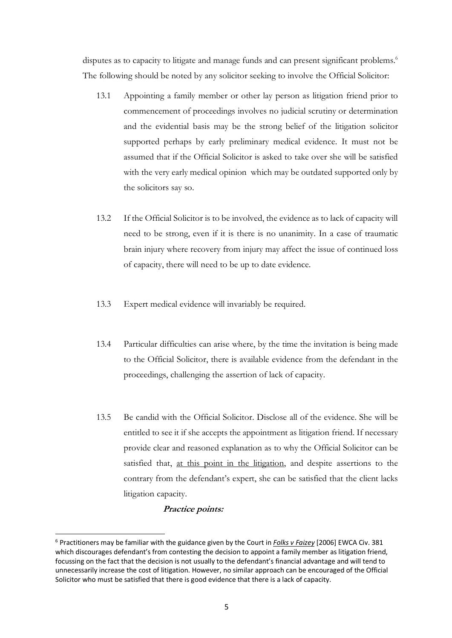disputes as to capacity to litigate and manage funds and can present significant problems.<sup>6</sup> The following should be noted by any solicitor seeking to involve the Official Solicitor:

- 13.1 Appointing a family member or other lay person as litigation friend prior to commencement of proceedings involves no judicial scrutiny or determination and the evidential basis may be the strong belief of the litigation solicitor supported perhaps by early preliminary medical evidence. It must not be assumed that if the Official Solicitor is asked to take over she will be satisfied with the very early medical opinion which may be outdated supported only by the solicitors say so.
- 13.2 If the Official Solicitor is to be involved, the evidence as to lack of capacity will need to be strong, even if it is there is no unanimity. In a case of traumatic brain injury where recovery from injury may affect the issue of continued loss of capacity, there will need to be up to date evidence.
- 13.3 Expert medical evidence will invariably be required.
- 13.4 Particular difficulties can arise where, by the time the invitation is being made to the Official Solicitor, there is available evidence from the defendant in the proceedings, challenging the assertion of lack of capacity.
- 13.5 Be candid with the Official Solicitor. Disclose all of the evidence. She will be entitled to see it if she accepts the appointment as litigation friend. If necessary provide clear and reasoned explanation as to why the Official Solicitor can be satisfied that, at this point in the litigation, and despite assertions to the contrary from the defendant's expert, she can be satisfied that the client lacks litigation capacity.

#### **Practice points:**

 <sup>6</sup> Practitioners may be familiar with the guidance given by the Court in *Folks v Faizey* [2006] EWCA Civ. <sup>381</sup> which discourages defendant's from contesting the decision to appoint a family member as litigation friend, focussing on the fact that the decision is not usually to the defendant's financial advantage and will tend to unnecessarily increase the cost of litigation. However, no similar approach can be encouraged of the Official Solicitor who must be satisfied that there is good evidence that there is a lack of capacity.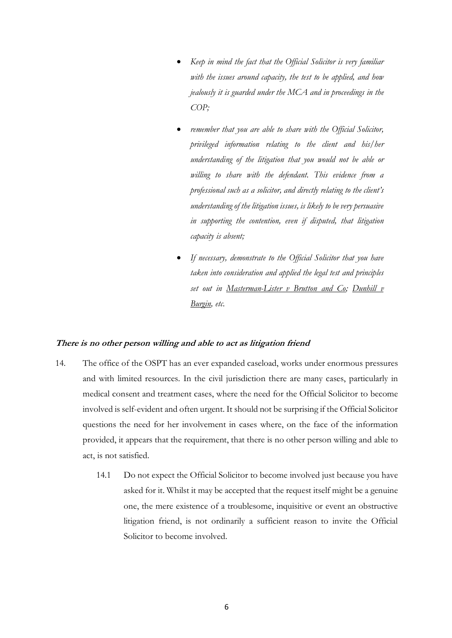- *Keep in mind the fact that the Official Solicitor is very familiar with the issues around capacity, the test to be applied, and how jealously it is guarded under the MCA and in proceedings in the COP;*
- *remember that you are able to share with the Official Solicitor, privileged information relating to the client and his/her understanding of the litigation that you would not be able or willing to share with the defendant. This evidence from a professional such as a solicitor, and directly relating to the client's understanding of the litigation issues, is likely to be very persuasive in supporting the contention, even if disputed, that litigation capacity is absent;*
- *If necessary, demonstrate to the Official Solicitor that you have taken into consideration and applied the legal test and principles set out in Masterman-Lister v Brutton and Co; Dunhill v Burgin, etc.*

#### **There is no other person willing and able to act as litigation friend**

- 14. The office of the OSPT has an ever expanded caseload, works under enormous pressures and with limited resources. In the civil jurisdiction there are many cases, particularly in medical consent and treatment cases, where the need for the Official Solicitor to become involved is self-evident and often urgent. It should not be surprising if the Official Solicitor questions the need for her involvement in cases where, on the face of the information provided, it appears that the requirement, that there is no other person willing and able to act, is not satisfied.
	- 14.1 Do not expect the Official Solicitor to become involved just because you have asked for it. Whilst it may be accepted that the request itself might be a genuine one, the mere existence of a troublesome, inquisitive or event an obstructive litigation friend, is not ordinarily a sufficient reason to invite the Official Solicitor to become involved.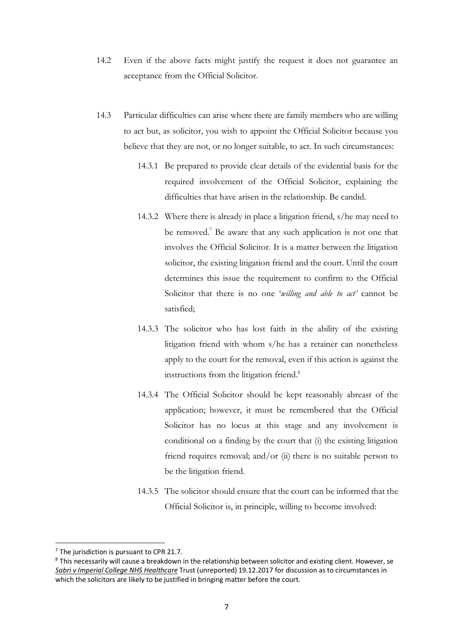- 14.2 Even if the above facts might justify the request it does not guarantee an acceptance from the Official Solicitor.
- 14.3 Particular difficulties can arise where there are family members who are willing to act but, as solicitor, you wish to appoint the Official Solicitor because you believe that they are not, or no longer suitable, to act. In such circumstances:
	- 14.3.1 Be prepared to provide clear details of the evidential basis for the required involvement of the Official Solicitor, explaining the difficulties that have arisen in the relationship. Be candid.
	- 14.3.2 Where there is already in place a litigation friend, s/he may need to be removed.<sup>7</sup> Be aware that any such application is not one that involves the Official Solicitor. It is a matter between the litigation solicitor, the existing litigation friend and the court. Until the court determines this issue the requirement to confirm to the Official Solicitor that there is no one '*willing and able to act'* cannot be satisfied;
	- 14.3.3 The solicitor who has lost faith in the ability of the existing litigation friend with whom s/he has a retainer can nonetheless apply to the court for the removal, even if this action is against the instructions from the litigation friend.<sup>8</sup>
	- 14.3.4 The Official Solicitor should be kept reasonably abreast of the application; however, it must be remembered that the Official Solicitor has no locus at this stage and any involvement is conditional on a finding by the court that (i) the existing litigation friend requires removal; and/or (ii) there is no suitable person to be the litigation friend.
	- 14.3.5 The solicitor should ensure that the court can be informed that the Official Solicitor is, in principle, willing to become involved:

 $<sup>7</sup>$  The jurisdiction is pursuant to CPR 21.7.</sup>

<sup>&</sup>lt;sup>8</sup> This necessarily will cause a breakdown in the relationship between solicitor and existing client. However, se *Sabri v Imperial College NHS Healthcare* Trust (unreported) 19.12.2017 for discussion as to circumstances in which the solicitors are likely to be justified in bringing matter before the court.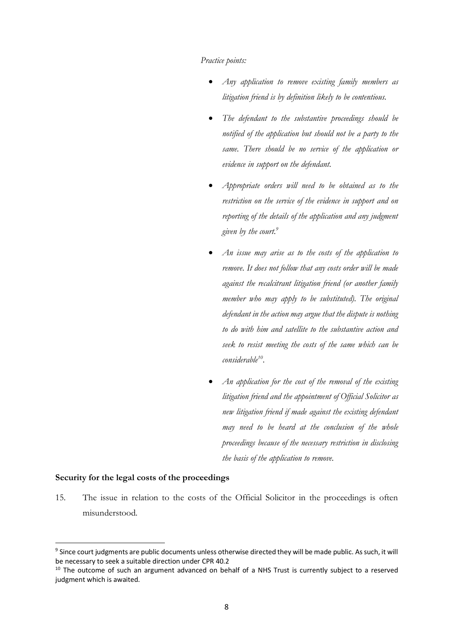#### *Practice points:*

- *Any application to remove existing family members as litigation friend is by definition likely to be contentious.*
- *The defendant to the substantive proceedings should be notified of the application but should not be a party to the same. There should be no service of the application or evidence in support on the defendant.*
- *Appropriate orders will need to be obtained as to the restriction on the service of the evidence in support and on reporting of the details of the application and any judgment given by the court.9*
- *An issue may arise as to the costs of the application to remove. It does not follow that any costs order will be made against the recalcitrant litigation friend (or another family member who may apply to be substituted). The original defendant in the action may argue that the dispute is nothing to do with him and satellite to the substantive action and seek to resist meeting the costs of the same which can be considerable10.*
- *An application for the cost of the removal of the existing litigation friend and the appointment of Official Solicitor as new litigation friend if made against the existing defendant may need to be heard at the conclusion of the whole proceedings because of the necessary restriction in disclosing the basis of the application to remove.*

#### **Security for the legal costs of the proceedings**

15. The issue in relation to the costs of the Official Solicitor in the proceedings is often misunderstood.

<sup>&</sup>lt;sup>9</sup> Since court judgments are public documents unless otherwise directed they will be made public. As such, it will be necessary to seek a suitable direction under CPR 40.2

<sup>&</sup>lt;sup>10</sup> The outcome of such an argument advanced on behalf of a NHS Trust is currently subject to a reserved judgment which is awaited.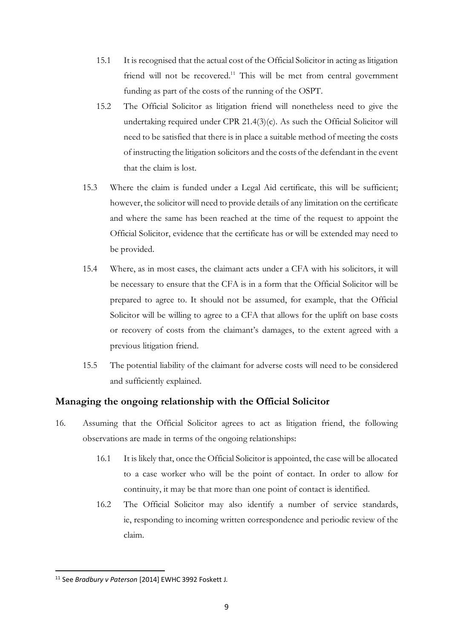- 15.1 It is recognised that the actual cost of the Official Solicitor in acting as litigation friend will not be recovered.<sup>11</sup> This will be met from central government funding as part of the costs of the running of the OSPT.
- 15.2 The Official Solicitor as litigation friend will nonetheless need to give the undertaking required under CPR 21.4(3)(c). As such the Official Solicitor will need to be satisfied that there is in place a suitable method of meeting the costs of instructing the litigation solicitors and the costs of the defendant in the event that the claim is lost.
- 15.3 Where the claim is funded under a Legal Aid certificate, this will be sufficient; however, the solicitor will need to provide details of any limitation on the certificate and where the same has been reached at the time of the request to appoint the Official Solicitor, evidence that the certificate has or will be extended may need to be provided.
- 15.4 Where, as in most cases, the claimant acts under a CFA with his solicitors, it will be necessary to ensure that the CFA is in a form that the Official Solicitor will be prepared to agree to. It should not be assumed, for example, that the Official Solicitor will be willing to agree to a CFA that allows for the uplift on base costs or recovery of costs from the claimant's damages, to the extent agreed with a previous litigation friend.
- 15.5 The potential liability of the claimant for adverse costs will need to be considered and sufficiently explained.

# **Managing the ongoing relationship with the Official Solicitor**

- 16. Assuming that the Official Solicitor agrees to act as litigation friend, the following observations are made in terms of the ongoing relationships:
	- 16.1 It is likely that, once the Official Solicitor is appointed, the case will be allocated to a case worker who will be the point of contact. In order to allow for continuity, it may be that more than one point of contact is identified.
	- 16.2 The Official Solicitor may also identify a number of service standards, ie, responding to incoming written correspondence and periodic review of the claim.

 <sup>11</sup> See *Bradbury v Paterson* [2014] EWHC 3992 Foskett J.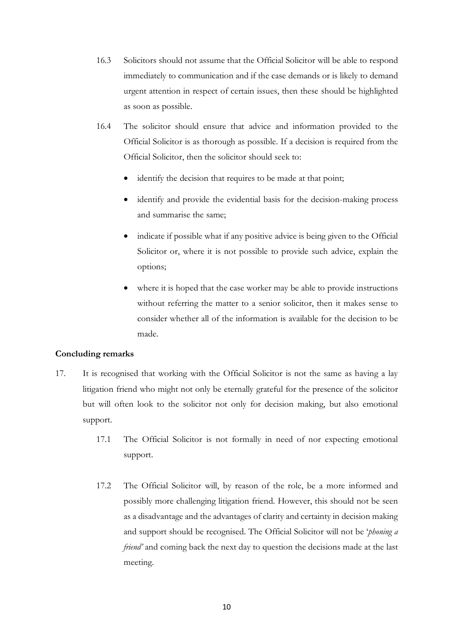- 16.3 Solicitors should not assume that the Official Solicitor will be able to respond immediately to communication and if the case demands or is likely to demand urgent attention in respect of certain issues, then these should be highlighted as soon as possible.
- 16.4 The solicitor should ensure that advice and information provided to the Official Solicitor is as thorough as possible. If a decision is required from the Official Solicitor, then the solicitor should seek to:
	- identify the decision that requires to be made at that point;
	- identify and provide the evidential basis for the decision-making process and summarise the same;
	- indicate if possible what if any positive advice is being given to the Official Solicitor or, where it is not possible to provide such advice, explain the options;
	- where it is hoped that the case worker may be able to provide instructions without referring the matter to a senior solicitor, then it makes sense to consider whether all of the information is available for the decision to be made.

# **Concluding remarks**

- 17. It is recognised that working with the Official Solicitor is not the same as having a lay litigation friend who might not only be eternally grateful for the presence of the solicitor but will often look to the solicitor not only for decision making, but also emotional support.
	- 17.1 The Official Solicitor is not formally in need of nor expecting emotional support.
	- 17.2 The Official Solicitor will, by reason of the role, be a more informed and possibly more challenging litigation friend. However, this should not be seen as a disadvantage and the advantages of clarity and certainty in decision making and support should be recognised. The Official Solicitor will not be '*phoning a friend'* and coming back the next day to question the decisions made at the last meeting.